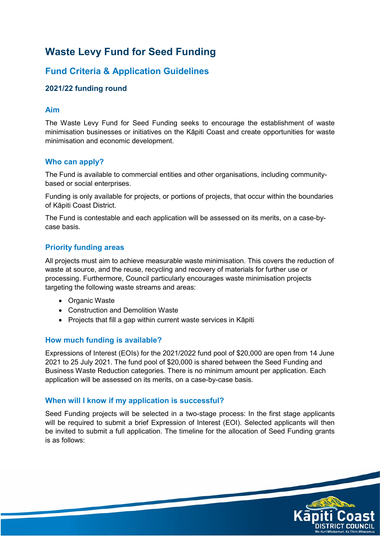# **Waste Levy Fund for Seed Funding**

# **Fund Criteria & Application Guidelines**

# **2021/22 funding round**

#### **Aim**

The Waste Levy Fund for Seed Funding seeks to encourage the establishment of waste minimisation businesses or initiatives on the Kāpiti Coast and create opportunities for waste minimisation and economic development.

#### **Who can apply?**

The Fund is available to commercial entities and other organisations, including communitybased or social enterprises.

Funding is only available for projects, or portions of projects, that occur within the boundaries of Kāpiti Coast District.

The Fund is contestable and each application will be assessed on its merits, on a case-bycase basis.

#### **Priority funding areas**

All projects must aim to achieve measurable waste minimisation. This covers the reduction of waste at source, and the reuse, recycling and recovery of materials for further use or processing. Furthermore, Council particularly encourages waste minimisation projects targeting the following waste streams and areas:

- Organic Waste
- Construction and Demolition Waste
- Projects that fill a gap within current waste services in Kāpiti

#### **How much funding is available?**

Expressions of Interest (EOIs) for the 2021/2022 fund pool of \$20,000 are open from 14 June 2021 to 25 July 2021. The fund pool of \$20,000 is shared between the Seed Funding and Business Waste Reduction categories. There is no minimum amount per application. Each application will be assessed on its merits, on a case-by-case basis.

#### **When will I know if my application is successful?**

Seed Funding projects will be selected in a two-stage process: In the first stage applicants will be required to submit a brief Expression of Interest (EOI). Selected applicants will then be invited to submit a full application. The timeline for the allocation of Seed Funding grants is as follows:

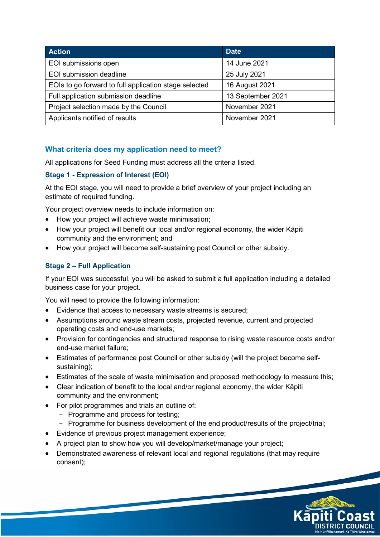| <b>Action</b>                                         | <b>Date</b>       |
|-------------------------------------------------------|-------------------|
| EOI submissions open                                  | 14 June 2021      |
| EOI submission deadline                               | 25 July 2021      |
| EOIs to go forward to full application stage selected | 16 August 2021    |
| Full application submission deadline                  | 13 September 2021 |
| Project selection made by the Council                 | November 2021     |
| Applicants notified of results                        | November 2021     |

## **What criteria does my application need to meet?**

All applications for Seed Funding must address all the criteria listed.

#### **Stage 1 - Expression of Interest (EOI)**

At the EOI stage, you will need to provide a brief overview of your project including an estimate of required funding.

Your project overview needs to include information on:

- How your project will achieve waste minimisation;
- How your project will benefit our local and/or regional economy, the wider Kāpiti community and the environment; and
- How your project will become self-sustaining post Council or other subsidy.

# **Stage 2 – Full Application**

If your EOI was successful, you will be asked to submit a full application including a detailed business case for your project.

You will need to provide the following information:

- Evidence that access to necessary waste streams is secured;
- Assumptions around waste stream costs, projected revenue, current and projected operating costs and end-use markets;
- Provision for contingencies and structured response to rising waste resource costs and/or end-use market failure;
- Estimates of performance post Council or other subsidy (will the project become selfsustaining);
- Estimates of the scale of waste minimisation and proposed methodology to measure this;
- Clear indication of benefit to the local and/or regional economy, the wider Kāpiti community and the environment;
- For pilot programmes and trials an outline of:
	- Programme and process for testing;
	- Programme for business development of the end product/results of the project/trial;
- Evidence of previous project management experience;
- A project plan to show how you will develop/market/manage your project;
- Demonstrated awareness of relevant local and regional regulations (that may require consent);

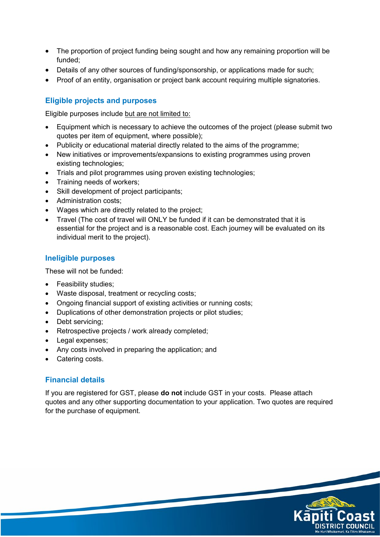- The proportion of project funding being sought and how any remaining proportion will be funded;
- Details of any other sources of funding/sponsorship, or applications made for such:
- Proof of an entity, organisation or project bank account requiring multiple signatories.

#### **Eligible projects and purposes**

Eligible purposes include but are not limited to:

- Equipment which is necessary to achieve the outcomes of the project (please submit two quotes per item of equipment, where possible);
- Publicity or educational material directly related to the aims of the programme;
- New initiatives or improvements/expansions to existing programmes using proven existing technologies;
- Trials and pilot programmes using proven existing technologies;
- Training needs of workers;
- Skill development of project participants;
- Administration costs:
- Wages which are directly related to the project;
- Travel (The cost of travel will ONLY be funded if it can be demonstrated that it is essential for the project and is a reasonable cost. Each journey will be evaluated on its individual merit to the project).

#### **Ineligible purposes**

These will not be funded:

- Feasibility studies;
- Waste disposal, treatment or recycling costs;
- Ongoing financial support of existing activities or running costs;
- Duplications of other demonstration projects or pilot studies;
- Debt servicing;
- Retrospective projects / work already completed;
- Legal expenses;
- Any costs involved in preparing the application; and
- Catering costs.

#### **Financial details**

If you are registered for GST, please **do not** include GST in your costs. Please attach quotes and any other supporting documentation to your application. Two quotes are required for the purchase of equipment.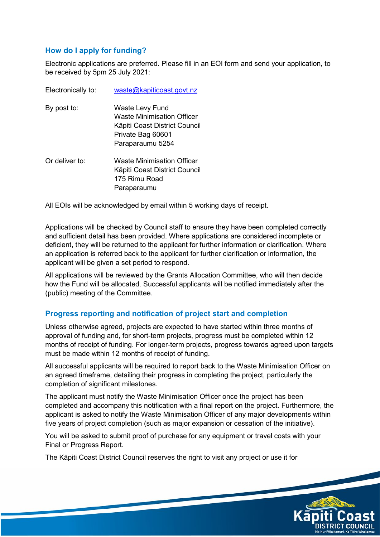### **How do I apply for funding?**

Electronic applications are preferred. Please fill in an EOI form and send your application, to be received by 5pm 25 July 2021:

| Electronically to: | waste@kapiticoast.govt.nz                                                                                               |
|--------------------|-------------------------------------------------------------------------------------------------------------------------|
| By post to:        | Waste Levy Fund<br>Waste Minimisation Officer<br>Kāpiti Coast District Council<br>Private Bag 60601<br>Paraparaumu 5254 |
| Or deliver to:     | <b>Waste Minimisation Officer</b><br>Kāpiti Coast District Council<br>175 Rimu Road<br>Paraparaumu                      |

All EOIs will be acknowledged by email within 5 working days of receipt.

Applications will be checked by Council staff to ensure they have been completed correctly and sufficient detail has been provided. Where applications are considered incomplete or deficient, they will be returned to the applicant for further information or clarification. Where an application is referred back to the applicant for further clarification or information, the applicant will be given a set period to respond.

All applications will be reviewed by the Grants Allocation Committee, who will then decide how the Fund will be allocated. Successful applicants will be notified immediately after the (public) meeting of the Committee.

#### **Progress reporting and notification of project start and completion**

Unless otherwise agreed, projects are expected to have started within three months of approval of funding and, for short-term projects, progress must be completed within 12 months of receipt of funding. For longer-term projects, progress towards agreed upon targets must be made within 12 months of receipt of funding.

All successful applicants will be required to report back to the Waste Minimisation Officer on an agreed timeframe, detailing their progress in completing the project, particularly the completion of significant milestones.

The applicant must notify the Waste Minimisation Officer once the project has been completed and accompany this notification with a final report on the project. Furthermore, the applicant is asked to notify the Waste Minimisation Officer of any major developments within five years of project completion (such as major expansion or cessation of the initiative).

You will be asked to submit proof of purchase for any equipment or travel costs with your Final or Progress Report.

The Kāpiti Coast District Council reserves the right to visit any project or use it for